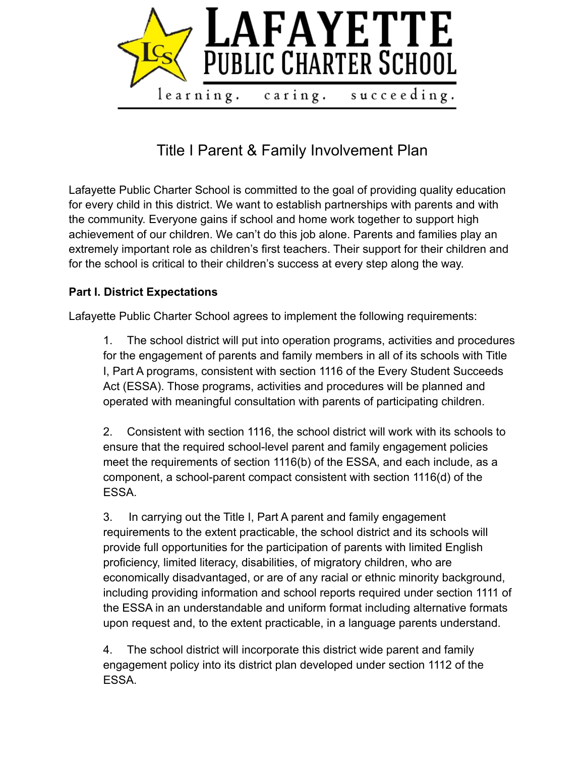

Title I Parent & Family Involvement Plan

Lafayette Public Charter School is committed to the goal of providing quality education for every child in this district. We want to establish partnerships with parents and with the community. Everyone gains if school and home work together to support high achievement of our children. We can't do this job alone. Parents and families play an extremely important role as children's first teachers. Their support for their children and for the school is critical to their children's success at every step along the way.

## **Part I. District Expectations**

Lafayette Public Charter School agrees to implement the following requirements:

1. The school district will put into operation programs, activities and procedures for the engagement of parents and family members in all of its schools with Title I, Part A programs, consistent with section 1116 of the Every Student Succeeds Act (ESSA). Those programs, activities and procedures will be planned and operated with meaningful consultation with parents of participating children.

2. Consistent with section 1116, the school district will work with its schools to ensure that the required school-level parent and family engagement policies meet the requirements of section 1116(b) of the ESSA, and each include, as a component, a school-parent compact consistent with section 1116(d) of the ESSA.

3. In carrying out the Title I, Part A parent and family engagement requirements to the extent practicable, the school district and its schools will provide full opportunities for the participation of parents with limited English proficiency, limited literacy, disabilities, of migratory children, who are economically disadvantaged, or are of any racial or ethnic minority background, including providing information and school reports required under section 1111 of the ESSA in an understandable and uniform format including alternative formats upon request and, to the extent practicable, in a language parents understand.

4. The school district will incorporate this district wide parent and family engagement policy into its district plan developed under section 1112 of the ESSA.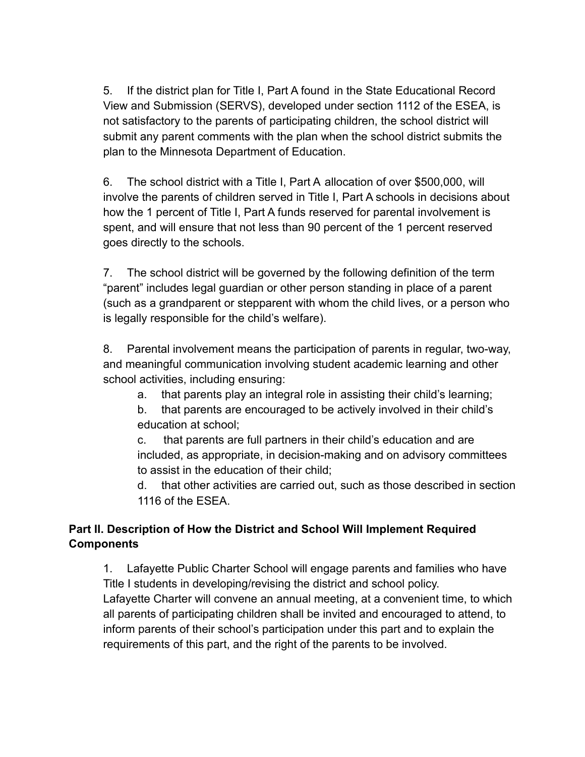5. If the district plan for Title I, Part A found in the State Educational Record View and Submission (SERVS), developed under section 1112 of the ESEA, is not satisfactory to the parents of participating children, the school district will submit any parent comments with the plan when the school district submits the plan to the Minnesota Department of Education.

6. The school district with a Title I, Part A allocation of over \$500,000, will involve the parents of children served in Title I, Part A schools in decisions about how the 1 percent of Title I, Part A funds reserved for parental involvement is spent, and will ensure that not less than 90 percent of the 1 percent reserved goes directly to the schools.

7. The school district will be governed by the following definition of the term "parent" includes legal guardian or other person standing in place of a parent (such as a grandparent or stepparent with whom the child lives, or a person who is legally responsible for the child's welfare).

8. Parental involvement means the participation of parents in regular, two-way, and meaningful communication involving student academic learning and other school activities, including ensuring:

- a. that parents play an integral role in assisting their child's learning;
- b. that parents are encouraged to be actively involved in their child's education at school;

c. that parents are full partners in their child's education and are included, as appropriate, in decision-making and on advisory committees to assist in the education of their child;

d. that other activities are carried out, such as those described in section 1116 of the ESEA.

# **Part II. Description of How the District and School Will Implement Required Components**

1. Lafayette Public Charter School will engage parents and families who have Title I students in developing/revising the district and school policy. Lafayette Charter will convene an annual meeting, at a convenient time, to which all parents of participating children shall be invited and encouraged to attend, to inform parents of their school's participation under this part and to explain the requirements of this part, and the right of the parents to be involved.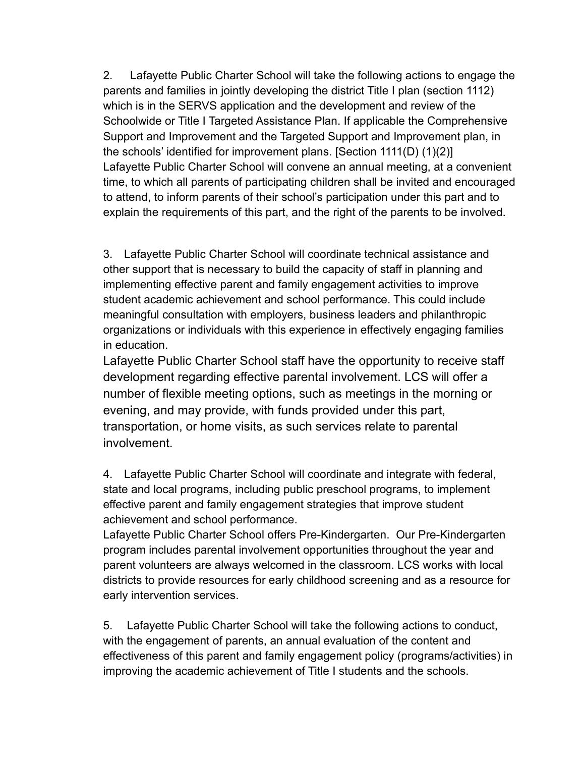2. Lafayette Public Charter School will take the following actions to engage the parents and families in jointly developing the district Title I plan (section 1112) which is in the SERVS application and the development and review of the Schoolwide or Title I Targeted Assistance Plan. If applicable the Comprehensive Support and Improvement and the Targeted Support and Improvement plan, in the schools' identified for improvement plans. [Section 1111(D) (1)(2)] Lafayette Public Charter School will convene an annual meeting, at a convenient time, to which all parents of participating children shall be invited and encouraged to attend, to inform parents of their school's participation under this part and to explain the requirements of this part, and the right of the parents to be involved.

3. Lafayette Public Charter School will coordinate technical assistance and other support that is necessary to build the capacity of staff in planning and implementing effective parent and family engagement activities to improve student academic achievement and school performance. This could include meaningful consultation with employers, business leaders and philanthropic organizations or individuals with this experience in effectively engaging families in education.

Lafayette Public Charter School staff have the opportunity to receive staff development regarding effective parental involvement. LCS will offer a number of flexible meeting options, such as meetings in the morning or evening, and may provide, with funds provided under this part, transportation, or home visits, as such services relate to parental involvement.

4. Lafayette Public Charter School will coordinate and integrate with federal, state and local programs, including public preschool programs, to implement effective parent and family engagement strategies that improve student achievement and school performance.

Lafayette Public Charter School offers Pre-Kindergarten. Our Pre-Kindergarten program includes parental involvement opportunities throughout the year and parent volunteers are always welcomed in the classroom. LCS works with local districts to provide resources for early childhood screening and as a resource for early intervention services.

5. Lafayette Public Charter School will take the following actions to conduct, with the engagement of parents, an annual evaluation of the content and effectiveness of this parent and family engagement policy (programs/activities) in improving the academic achievement of Title I students and the schools.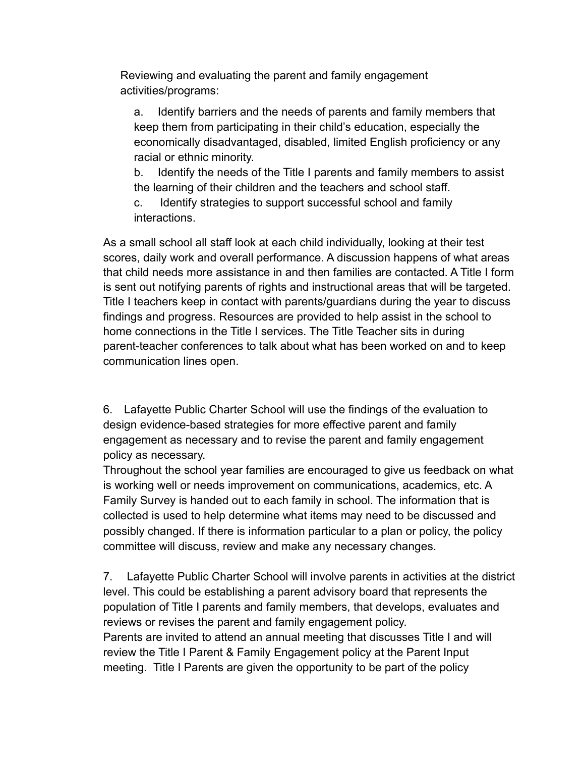Reviewing and evaluating the parent and family engagement activities/programs:

a. Identify barriers and the needs of parents and family members that keep them from participating in their child's education, especially the economically disadvantaged, disabled, limited English proficiency or any racial or ethnic minority.

b. Identify the needs of the Title I parents and family members to assist the learning of their children and the teachers and school staff.

c. Identify strategies to support successful school and family interactions.

As a small school all staff look at each child individually, looking at their test scores, daily work and overall performance. A discussion happens of what areas that child needs more assistance in and then families are contacted. A Title I form is sent out notifying parents of rights and instructional areas that will be targeted. Title I teachers keep in contact with parents/guardians during the year to discuss findings and progress. Resources are provided to help assist in the school to home connections in the Title I services. The Title Teacher sits in during parent-teacher conferences to talk about what has been worked on and to keep communication lines open.

6. Lafayette Public Charter School will use the findings of the evaluation to design evidence-based strategies for more effective parent and family engagement as necessary and to revise the parent and family engagement policy as necessary.

Throughout the school year families are encouraged to give us feedback on what is working well or needs improvement on communications, academics, etc. A Family Survey is handed out to each family in school. The information that is collected is used to help determine what items may need to be discussed and possibly changed. If there is information particular to a plan or policy, the policy committee will discuss, review and make any necessary changes.

7. Lafayette Public Charter School will involve parents in activities at the district level. This could be establishing a parent advisory board that represents the population of Title I parents and family members, that develops, evaluates and reviews or revises the parent and family engagement policy. Parents are invited to attend an annual meeting that discusses Title I and will review the Title I Parent & Family Engagement policy at the Parent Input meeting. Title I Parents are given the opportunity to be part of the policy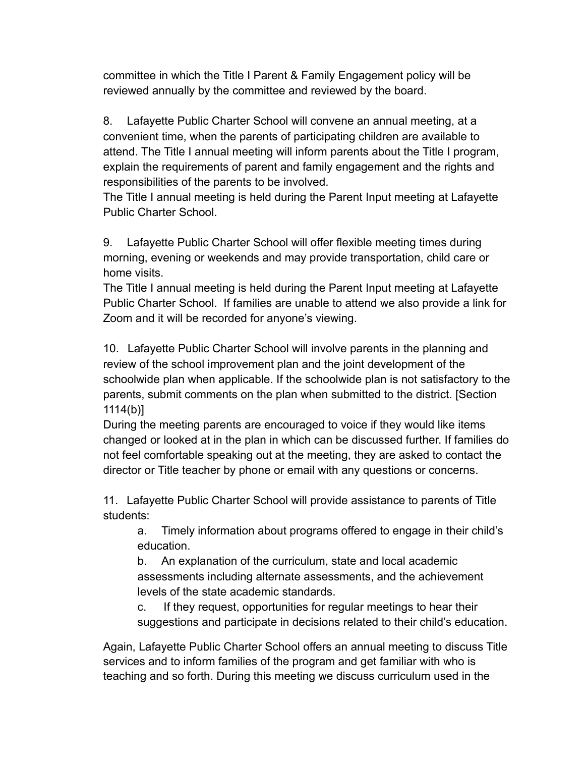committee in which the Title I Parent & Family Engagement policy will be reviewed annually by the committee and reviewed by the board.

8. Lafayette Public Charter School will convene an annual meeting, at a convenient time, when the parents of participating children are available to attend. The Title I annual meeting will inform parents about the Title I program, explain the requirements of parent and family engagement and the rights and responsibilities of the parents to be involved.

The Title I annual meeting is held during the Parent Input meeting at Lafayette Public Charter School.

9. Lafayette Public Charter School will offer flexible meeting times during morning, evening or weekends and may provide transportation, child care or home visits.

The Title I annual meeting is held during the Parent Input meeting at Lafayette Public Charter School. If families are unable to attend we also provide a link for Zoom and it will be recorded for anyone's viewing.

10. Lafayette Public Charter School will involve parents in the planning and review of the school improvement plan and the joint development of the schoolwide plan when applicable. If the schoolwide plan is not satisfactory to the parents, submit comments on the plan when submitted to the district. [Section 1114(b)]

During the meeting parents are encouraged to voice if they would like items changed or looked at in the plan in which can be discussed further. If families do not feel comfortable speaking out at the meeting, they are asked to contact the director or Title teacher by phone or email with any questions or concerns.

11. Lafayette Public Charter School will provide assistance to parents of Title students:

a. Timely information about programs offered to engage in their child's education.

b. An explanation of the curriculum, state and local academic assessments including alternate assessments, and the achievement levels of the state academic standards.

c. If they request, opportunities for regular meetings to hear their suggestions and participate in decisions related to their child's education.

Again, Lafayette Public Charter School offers an annual meeting to discuss Title services and to inform families of the program and get familiar with who is teaching and so forth. During this meeting we discuss curriculum used in the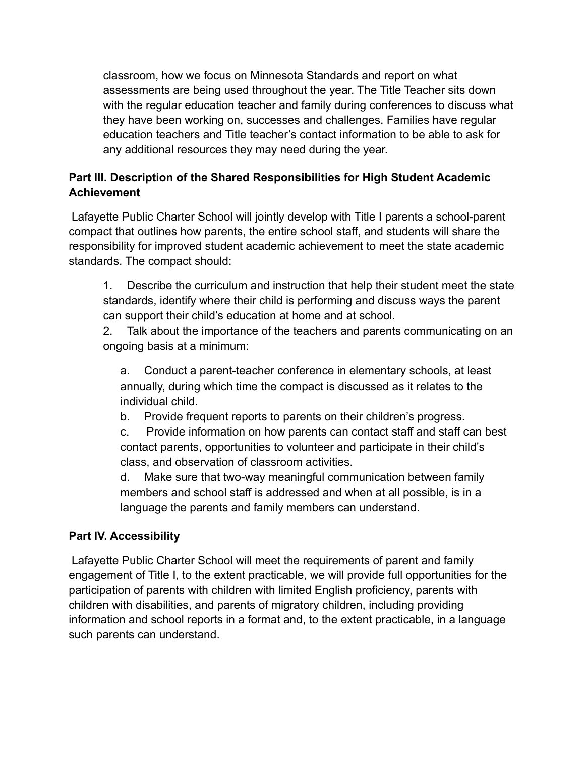classroom, how we focus on Minnesota Standards and report on what assessments are being used throughout the year. The Title Teacher sits down with the regular education teacher and family during conferences to discuss what they have been working on, successes and challenges. Families have regular education teachers and Title teacher's contact information to be able to ask for any additional resources they may need during the year.

# **Part III. Description of the Shared Responsibilities for High Student Academic Achievement**

Lafayette Public Charter School will jointly develop with Title I parents a school-parent compact that outlines how parents, the entire school staff, and students will share the responsibility for improved student academic achievement to meet the state academic standards. The compact should:

1. Describe the curriculum and instruction that help their student meet the state standards, identify where their child is performing and discuss ways the parent can support their child's education at home and at school.

2. Talk about the importance of the teachers and parents communicating on an ongoing basis at a minimum:

a. Conduct a parent-teacher conference in elementary schools, at least annually, during which time the compact is discussed as it relates to the individual child.

b. Provide frequent reports to parents on their children's progress.

c. Provide information on how parents can contact staff and staff can best contact parents, opportunities to volunteer and participate in their child's class, and observation of classroom activities.

d. Make sure that two-way meaningful communication between family members and school staff is addressed and when at all possible, is in a language the parents and family members can understand.

# **Part IV. Accessibility**

Lafayette Public Charter School will meet the requirements of parent and family engagement of Title I, to the extent practicable, we will provide full opportunities for the participation of parents with children with limited English proficiency, parents with children with disabilities, and parents of migratory children, including providing information and school reports in a format and, to the extent practicable, in a language such parents can understand.